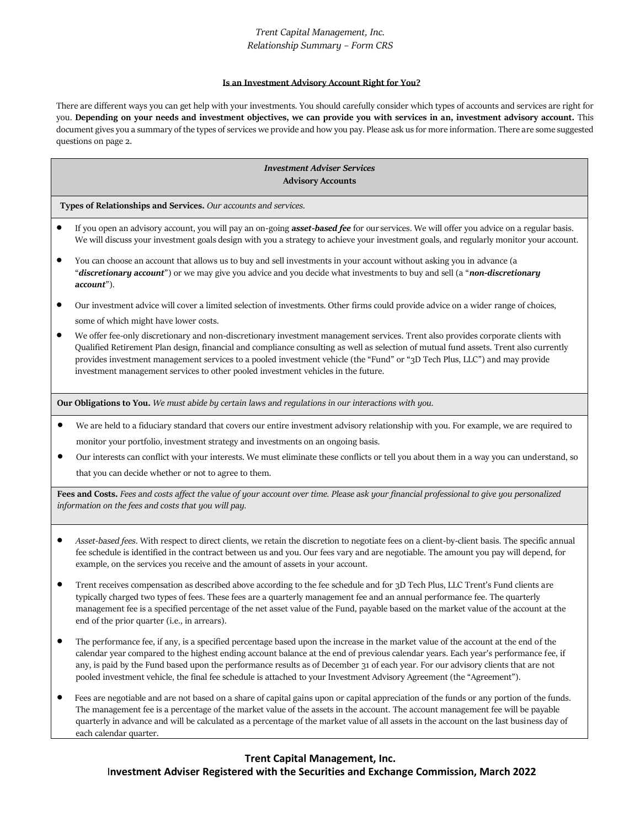# *Trent Capital Management, Inc. Relationship Summary – Form CRS*

#### **Is an Investment Advisory Account Right for You?**

There are different ways you can get help with your investments. You should carefully consider which types of accounts and services are right for you. **Depending on your needs and investment objectives, we can provide you with services in an, investment advisory account.** This document gives you a summary of the types of services we provide and how you pay. Please ask us for more information. There are some suggested questions on page 2.

### *Investment Adviser Services* **Advisory Accounts**

**Types of Relationships and Services.** *Our accounts and services.*

- If you open an advisory account, you will pay an on-going *asset-based fee* for ourservices. We will offer you advice on a regular basis. We will discuss your investment goals design with you a strategy to achieve your investment goals, and regularly monitor your account.
- You can choose an account that allows us to buy and sell investments in your account without asking you in advance (a "*discretionary account*") or we may give you advice and you decide what investments to buy and sell (a "*non-discretionary account*").
- Our investment advice will cover a limited selection of investments. Other firms could provide advice on a wider range of choices, some of which might have lower costs.
- We offer fee-only discretionary and non-discretionary investment management services. Trent also provides corporate clients with Qualified Retirement Plan design, financial and compliance consulting as well as selection of mutual fund assets. Trent also currently provides investment management services to a pooled investment vehicle (the "Fund" or "3D Tech Plus, LLC") and may provide investment management services to other pooled investment vehicles in the future.

**Our Obligations to You.** *We must abide by certain laws and regulations in our interactions with you.*

- We are held to a fiduciary standard that covers our entire investment advisory relationship with you. For example, we are required to monitor your portfolio, investment strategy and investments on an ongoing basis.
- Our interests can conflict with your interests. We must eliminate these conflicts or tell you about them in a way you can understand, so that you can decide whether or not to agree to them.

**Fees and Costs.** *Fees and costs affect the value of your account over time. Please ask your financial professional to give you personalized information on the fees and costs that you will pay.*

- *Asset-based fees*. With respect to direct clients, we retain the discretion to negotiate fees on a client-by-client basis. The specific annual fee schedule is identified in the contract between us and you. Our fees vary and are negotiable. The amount you pay will depend, for example, on the services you receive and the amount of assets in your account.
- Trent receives compensation as described above according to the fee schedule and for 3D Tech Plus, LLC Trent's Fund clients are typically charged two types of fees. These fees are a quarterly management fee and an annual performance fee. The quarterly management fee is a specified percentage of the net asset value of the Fund, payable based on the market value of the account at the end of the prior quarter (i.e., in arrears).
- The performance fee, if any, is a specified percentage based upon the increase in the market value of the account at the end of the calendar year compared to the highest ending account balance at the end of previous calendar years. Each year's performance fee, if any, is paid by the Fund based upon the performance results as of December 31 of each year. For our advisory clients that are not pooled investment vehicle, the final fee schedule is attached to your Investment Advisory Agreement (the "Agreement").
- Fees are negotiable and are not based on a share of capital gains upon or capital appreciation of the funds or any portion of the funds. The management fee is a percentage of the market value of the assets in the account. The account management fee will be payable quarterly in advance and will be calculated as a percentage of the market value of all assets in the account on the last business day of each calendar quarter.

## **Trent Capital Management, Inc.**

I**nvestment Adviser Registered with the Securities and Exchange Commission, March 2022**